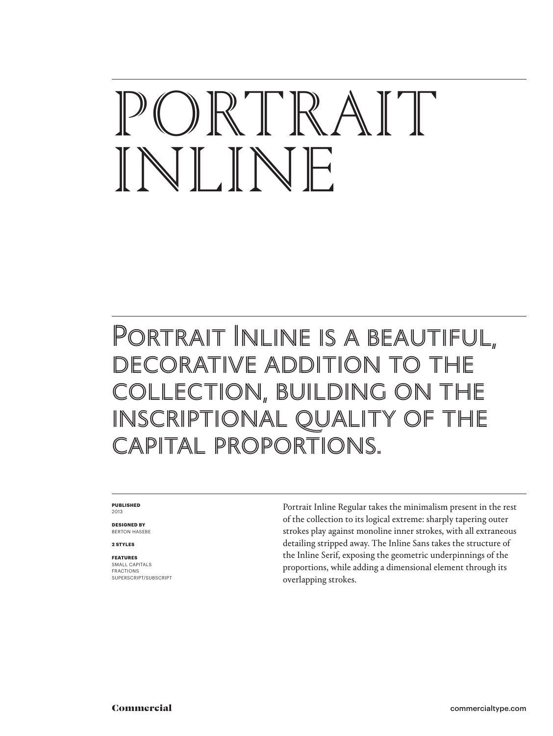# ORTRAIT INLINE

## Portrait Inline is a beautiful, DECORATIVE ADDITION TO COLLECTION, BUILDING ON INSCRIPTIONAL QUALITY OF capital proportions.

### **PUBLISHED** 2013

**DESIGNED BY** BERTON HASEBE

**2 STYLES**

## **FEATURES**

SMALL CAPITALS FRACTIONS SUPERSCRIPT/SUBSCRIPT Portrait Inline Regular takes the minimalism present in the rest of the collection to its logical extreme: sharply tapering outer strokes play against monoline inner strokes, with all extraneous detailing stripped away. The Inline Sans takes the structure of the Inline Serif, exposing the geometric underpinnings of the proportions, while adding a dimensional element through its overlapping strokes.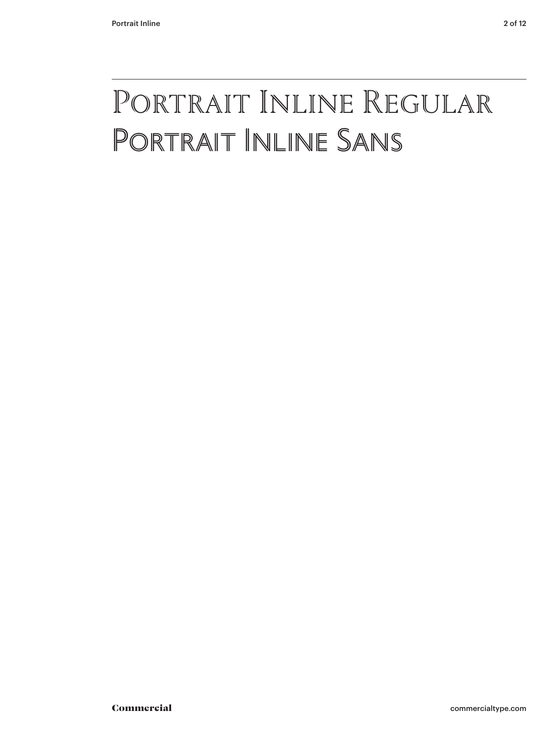## Portrait Inline Regular Portrait Inline Sans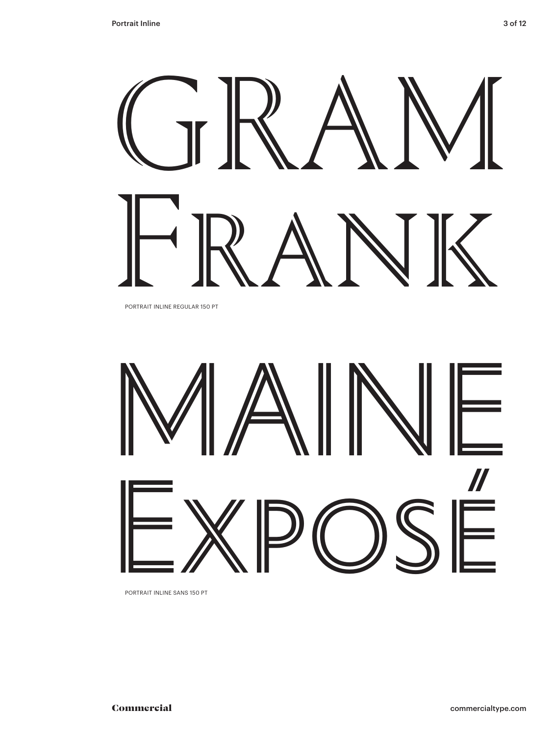# GR AM FRANK

PORTRAIT INLINE REGULAR 150 PT



PORTRAIT INLINE SANS 150 PT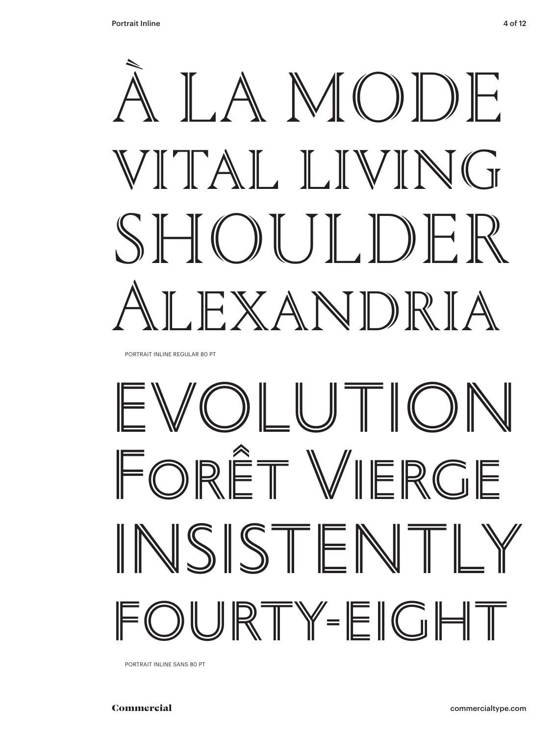

PORTRAIT INLINE REGULAR 80 PT

## EVOLUTION FORÊT VIERGE INSISTENT  $\mathbb{I}$ URTY-EIGHT

PORTRAIT INLINE SANS 80 PT

**Commercial**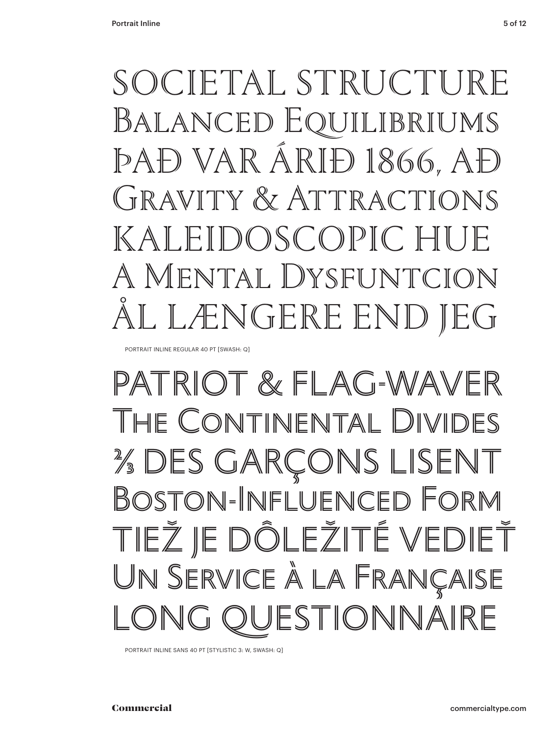SOCIETAL STRUCTURE BALANCED EQUILIBRIUMS PAĐ VAR ÁRIĐ 1866, AĐ GRAVITY & ATTRACTIONS DOSCOPIC HU  $K$  A A MENTAL DYSFUNTCION NGERE END

PORTRAIT INLINE REGULAR 40 PT [SWASH: Q]

## PATRIOT & FLAG-WAVER THE CONTINENTAL DIVID **% DES GARÇONS LISENT** BOSTON-INFLUENCED FORM TIEŽ JE DÔLEŽITÉ VEDIEŤ UN SERVICE À LA FRANÇAISE ESTIONNAIRE

PORTRAIT INLINE SANS 40 PT [STYLISTIC 3: W, SWASH: Q]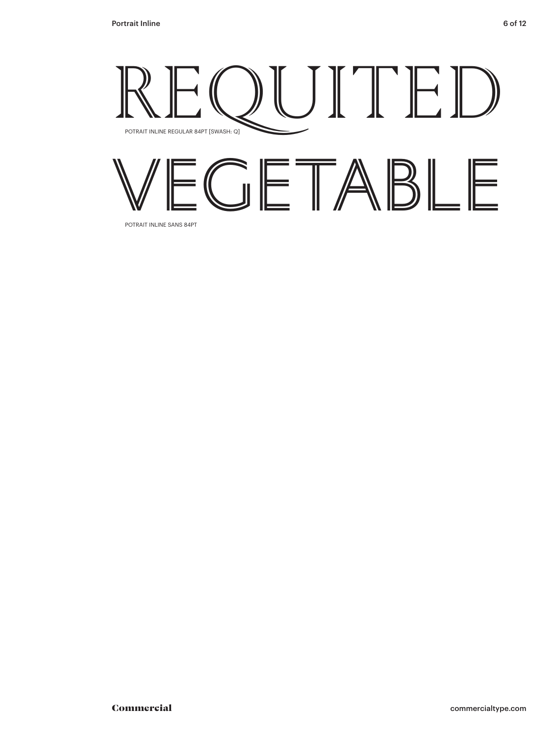

VEGETABLE

POTRAIT INLINE SANS 84PT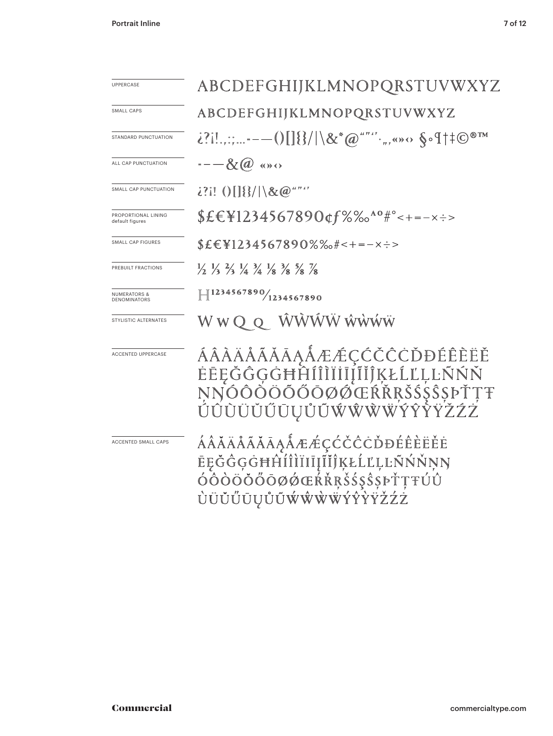| <b>UPPERCASE</b>                               | ABCDEFGHIJKLMNOPQRSTUVWXYZ                                                                                                    |  |  |
|------------------------------------------------|-------------------------------------------------------------------------------------------------------------------------------|--|--|
| SMALL CAPS                                     | ABCDEFGHIJKLMNOPQRSTUVWXYZ                                                                                                    |  |  |
| STANDARD PUNCTUATION                           | ¿?i!.,:;-——()[]{}/ \&*@""*'·",«»<> §•¶†‡©®™                                                                                   |  |  |
| ALL CAP PUNCTUATION                            | $---\&$ a $\cdots$                                                                                                            |  |  |
| SMALL CAP PUNCTUATION                          | $2?$ i! () $\left[\frac{18}{3}\right] \times \omega$ """                                                                      |  |  |
| PROPORTIONAL LINING<br>default figures         | \$£€\1234567890¢f%‰^°#°<+=-x:>                                                                                                |  |  |
| SMALL CAP FIGURES                              | $$E\in$ ¥1234567890%‰#<+=-×÷>                                                                                                 |  |  |
| PREBUILT FRACTIONS                             | $\frac{1}{2}$ $\frac{1}{3}$ $\frac{2}{3}$ $\frac{1}{4}$ $\frac{3}{4}$ $\frac{1}{8}$ $\frac{3}{8}$ $\frac{5}{8}$ $\frac{7}{8}$ |  |  |
| <b>NUMERATORS &amp;</b><br><b>DENOMINATORS</b> | $\left  \right $ 1234567890/1234567890                                                                                        |  |  |
| STYLISTIC ALTERNATES                           | WWQQ WWWWWW                                                                                                                   |  |  |
| <b>ACCENTED UPPERCASE</b>                      | ÁÂÀÄÅÃĂĂĀĄÅÆÆÇĆČČĊĎĐÉÊÈËĔ<br>ĖĒĘĞĜĢĠĦĤĺĨĨĬĬĬĨĨĨĶŁĹĽĻĿŇŃŇ<br>NŊÓÔŎÖŎŐŎØØŒŔŘŖŠŚŞŜŞÞŤŢŦ<br>ÚÛÙÜŬŰŪŲŮŨŴŴŴŴŶŶŶŸŽŹŹ                 |  |  |
| ACCENTED SMALL CAPS                            | ÁÂĂÄÅÃĂĀĄÅÆÆÇĆČĈĊĎĐÉÊÈËĔĖ<br>ĒĘĞĜĢĠĦĤÍÎÌÏĪĪĮĨĬĴĶŁĹĽĻĿÑŃŇŅŊ<br>ÓÒÒÖÖŐŌØØŒŔŘŖŠŚŞŜŞÞŤŢŦÚÛ<br>ÙÜŬŰŪŲŮŨŴŴŴŴÝŶŶŸŽŹŻ                 |  |  |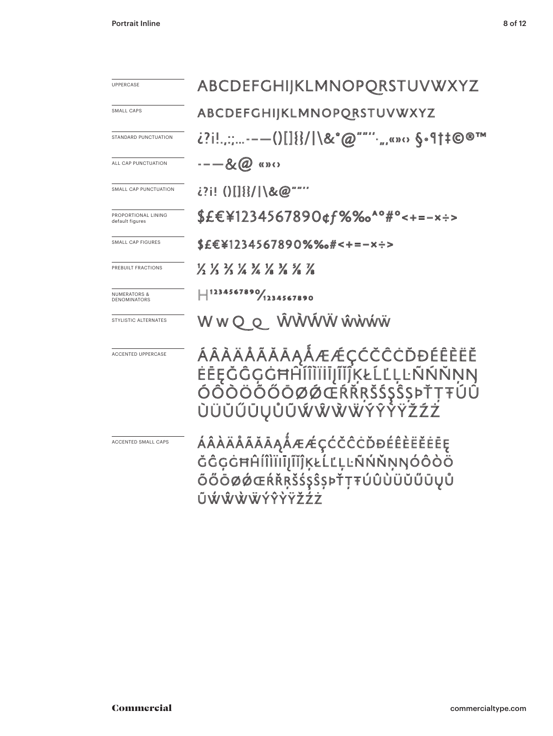| <b>UPPERCASE</b>                        | ABCDEFGHIJKLMNOPQRSTUVWXYZ                                                                                     |  |  |
|-----------------------------------------|----------------------------------------------------------------------------------------------------------------|--|--|
| SMALL CAPS                              | ABCDEFGHIJKLMNOPQRSTUVWXYZ                                                                                     |  |  |
| STANDARD PUNCTUATION                    | ¿?i!.,:;-—()[]{}/ \&*@""'".,,,«»<> §•¶†‡©®™                                                                    |  |  |
| ALL CAP PUNCTUATION                     | $---\&\mathbb{Q}$ (a) «»                                                                                       |  |  |
| SMALL CAP PUNCTUATION                   | ¿?¡! ()[] {}/  \&@""""                                                                                         |  |  |
| PROPORTIONAL LINING<br>default figures  | \$£€¥1234567890¢f%‰ <sup>^</sup> °#°<+=-×÷>                                                                    |  |  |
| SMALL CAP FIGURES                       | \$£€¥1234567890%‰#<+=-×÷>                                                                                      |  |  |
| PREBUILT FRACTIONS                      | 12 13 13 14 14 18 18 18 18                                                                                     |  |  |
| <b>NUMERATORS &amp;</b><br>DENOMINATORS | $  $ 1234567890/1234567890                                                                                     |  |  |
| STYLISTIC ALTERNATES                    | W W Q Q NVVVVVV WWWW                                                                                           |  |  |
| <b>ACCENTED UPPERCASE</b>               | ÁÂÀÄÅÃĂĀĄÅÆÆÇĆČČĊĎĐÉÊÈËĔ<br>ĖĒĘĞĜĢĠĦĤĨĨĨĬĨĨĨĨĨĶŁĹĽĻĿŇŇŇŅŊ<br>ÓÔÒÖÖŐŐŌØØŒŔŔŖŠŚŞŜSÞŤŢŦŰŨ<br>ÙÜŬŬŨŪŲŮŨŴŴŴŴŶŶŶŸŽŹŻ |  |  |
| ACCENTED SMALL CAPS                     | ÁÂÀÄÅÃĂĀĀĄÅÆÆÇĆČĈĊĎĐÉÊÈËËĒĘ<br>ŎĜĢĠĦĤĺĨĬĨĨĨĬĨĬĴĶŁĹĽĻĿŇŇŇŅŊÓÔŎÖ<br>ÕŐŌØØŒŔŘŖŠŚŞŜŞÞŤŢŦÚÛÙÜŬŰŪŲŮ<br>ŨŴŴŴŴŶŶŸŽŹŻ   |  |  |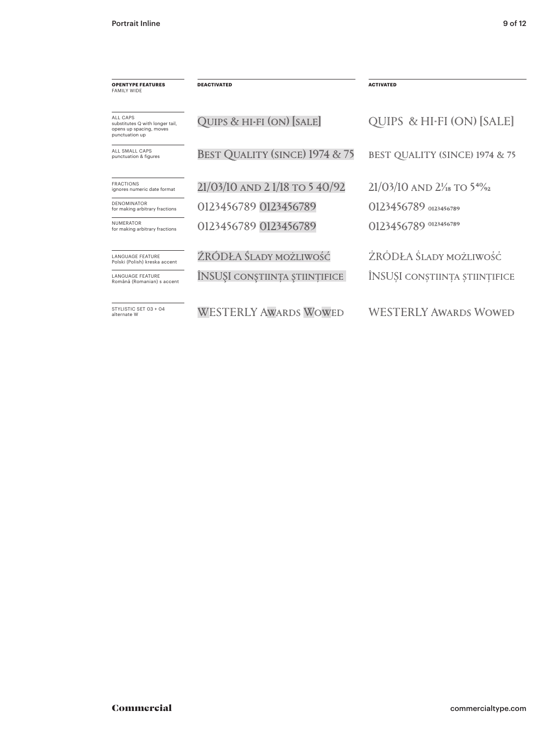| <b>OPENTYPE FEATURES</b><br><b>FAMILY WIDE</b>                                           | <b>DEACTIVATED</b>             | <b>ACTIVATED</b>                                   |
|------------------------------------------------------------------------------------------|--------------------------------|----------------------------------------------------|
| ALL CAPS<br>substitutes Q with longer tail,<br>opens up spacing, moves<br>punctuation up | QUIPS & HI-FI (ON) [SALE]      | QUIPS & HI-FI (ON) [SALE]                          |
| ALL SMALL CAPS<br>punctuation & figures                                                  | BEST QUALITY (SINCE) 1974 & 75 | BEST QUALITY (SINCE) 1974 & 75                     |
| <b>FRACTIONS</b><br>ignores numeric date format                                          | 21/03/10 AND 21/18 TO 540/92   | $21/03/10$ AND $2\frac{1}{18}$ TO $5\frac{40}{22}$ |
| <b>DENOMINATOR</b><br>for making arbitrary fractions                                     | 0123456789 0123456789          | 0123456789 0123456789                              |
| <b>NUMERATOR</b><br>for making arbitrary fractions                                       | 0123456789 0123456789          | 0123456789 0123456789                              |
| <b>LANGUAGE FEATURE</b><br>Polski (Polish) kreska accent                                 | ŹRÓDŁA ŚLADY MOŻLIWOŚĆ         | ŻRÓDŁA ŚLADY MOŻLIWOŚĆ                             |
| <b>LANGUAGE FEATURE</b><br>Română (Romanian) s accent                                    | ÎNSUȘI conștiința științifice  | ÎNSUȘI CONȘTIINȚA ȘTIINȚIFICE                      |
| STYLISTIC SFT 03 + 04<br>alternate W                                                     | <b>WESTERLY AWARDS WOWED</b>   | <b>WESTERLY AWARDS WOWED</b>                       |